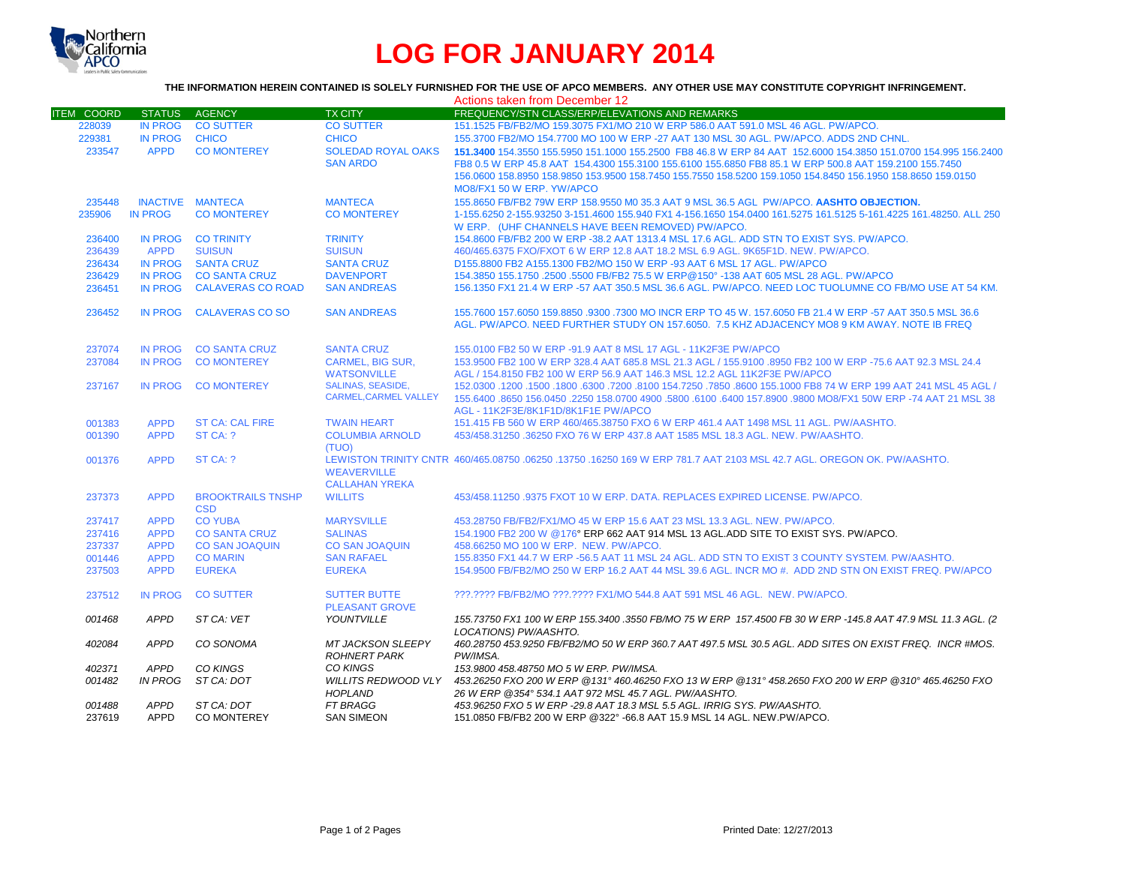

# **LOG FOR JANUARY 2014**

## **THE INFORMATION HEREIN CONTAINED IS SOLELY FURNISHED FOR THE USE OF APCO MEMBERS. ANY OTHER USE MAY CONSTITUTE COPYRIGHT INFRINGEMENT.**

|                   |                            |                                        |                                                         | Actions taken from December 12                                                                                                                                                                                                                                                                                                                                      |
|-------------------|----------------------------|----------------------------------------|---------------------------------------------------------|---------------------------------------------------------------------------------------------------------------------------------------------------------------------------------------------------------------------------------------------------------------------------------------------------------------------------------------------------------------------|
| <b>ITEM COORD</b> |                            | STATUS AGENCY                          | <b>TX CITY</b>                                          | FREQUENCY/STN CLASS/ERP/ELEVATIONS AND REMARKS                                                                                                                                                                                                                                                                                                                      |
| 228039            | IN PROG                    | <b>CO SUTTER</b>                       | <b>CO SUTTER</b>                                        | 151.1525 FB/FB2/MO 159.3075 FX1/MO 210 W ERP 586.0 AAT 591.0 MSL 46 AGL, PW/APCO.                                                                                                                                                                                                                                                                                   |
| 229381            | <b>IN PROG</b>             | <b>CHICO</b>                           | <b>CHICO</b>                                            | 155.3700 FB2/MO 154.7700 MO 100 W ERP -27 AAT 130 MSL 30 AGL. PW/APCO. ADDS 2ND CHNL.                                                                                                                                                                                                                                                                               |
| 233547            | <b>APPD</b>                | <b>CO MONTEREY</b>                     | <b>SOLEDAD ROYAL OAKS</b><br><b>SAN ARDO</b>            | 151,3400 154,3550 155,5950 151,1000 155,2500 FB8 46.8 W ERP 84 AAT 152,6000 154,3850 151,0700 154,995 156,2400<br>FB8 0.5 W ERP 45.8 AAT 154.4300 155.3100 155.6100 155.6850 FB8 85.1 W ERP 500.8 AAT 159.2100 155.7450<br>156.0600 158.8950 158.9850 153.9500 158.7450 155.7550 158.5200 159.1050 154.8450 156.1950 158.8650 159.0150<br>MO8/FX1 50 W ERP. YW/APCO |
| 235448            |                            | <b>INACTIVE MANTECA</b>                | <b>MANTECA</b>                                          | 155.8650 FB/FB2 79W ERP 158.9550 M0 35.3 AAT 9 MSL 36.5 AGL PW/APCO. AASHTO OBJECTION.                                                                                                                                                                                                                                                                              |
| 235906            | <b>IN PROG</b>             | <b>CO MONTEREY</b>                     | <b>CO MONTEREY</b>                                      | 1-155.6250 2-155.93250 3-151.4600 155.940 FX1 4-156.1650 154.0400 161.5275 161.5125 5-161.4225 161.48250, ALL 250<br>W ERP. (UHF CHANNELS HAVE BEEN REMOVED) PW/APCO.                                                                                                                                                                                               |
| 236400            |                            | IN PROG CO TRINITY                     | <b>TRINITY</b>                                          | 154.8600 FB/FB2 200 W ERP -38.2 AAT 1313.4 MSL 17.6 AGL. ADD STN TO EXIST SYS. PW/APCO.                                                                                                                                                                                                                                                                             |
| 236439            | <b>APPD</b>                | <b>SUISUN</b>                          | <b>SUISUN</b>                                           | 460/465.6375 FXO/FXOT 6 W ERP 12.8 AAT 18.2 MSL 6.9 AGL, 9K65F1D, NEW, PW/APCO,                                                                                                                                                                                                                                                                                     |
| 236434            | <b>IN PROG</b>             | <b>SANTA CRUZ</b>                      | <b>SANTA CRUZ</b>                                       | D155.8800 FB2 A155.1300 FB2/MO 150 W ERP -93 AAT 6 MSL 17 AGL. PW/APCO                                                                                                                                                                                                                                                                                              |
| 236429            | <b>IN PROG</b>             | <b>CO SANTA CRUZ</b>                   | <b>DAVENPORT</b>                                        | 154.3850 155.1750 .2500 .5500 FB/FB2 75.5 W ERP@150° -138 AAT 605 MSL 28 AGL, PW/APCO                                                                                                                                                                                                                                                                               |
| 236451            | <b>IN PROG</b>             | <b>CALAVERAS CO ROAD</b>               | <b>SAN ANDREAS</b>                                      | 156.1350 FX1 21.4 W ERP -57 AAT 350.5 MSL 36.6 AGL. PW/APCO, NEED LOC TUOLUMNE CO FB/MO USE AT 54 KM.                                                                                                                                                                                                                                                               |
| 236452            | <b>IN PROG</b>             | <b>CALAVERAS CO SO</b>                 | <b>SAN ANDREAS</b>                                      | 155.7600 157.6050 159.8850 .9300 .7300 MO INCR ERP TO 45 W, 157.6050 FB 21.4 W ERP -57 AAT 350.5 MSL 36.6<br>AGL. PW/APCO. NEED FURTHER STUDY ON 157.6050. 7.5 KHZ ADJACENCY MO8 9 KM AWAY. NOTE IB FREQ                                                                                                                                                            |
| 237074            | <b>IN PROG</b>             | <b>CO SANTA CRUZ</b>                   | <b>SANTA CRUZ</b>                                       | 155.0100 FB2 50 W ERP -91.9 AAT 8 MSL 17 AGL - 11K2F3E PW/APCO                                                                                                                                                                                                                                                                                                      |
| 237084            | <b>IN PROG</b>             | <b>CO MONTEREY</b>                     | <b>CARMEL, BIG SUR.</b>                                 | 153.9500 FB2 100 W ERP 328.4 AAT 685.8 MSL 21.3 AGL / 155.9100 .8950 FB2 100 W ERP -75.6 AAT 92.3 MSL 24.4                                                                                                                                                                                                                                                          |
|                   |                            |                                        | <b>WATSONVILLE</b>                                      | AGL / 154.8150 FB2 100 W ERP 56.9 AAT 146.3 MSL 12.2 AGL 11K2F3E PW/APCO                                                                                                                                                                                                                                                                                            |
| 237167            | <b>IN PROG</b>             | <b>CO MONTEREY</b>                     | <b>SALINAS, SEASIDE,</b><br><b>CARMEL.CARMEL VALLEY</b> | 152,0300 1200 1500 1600 16300 17200 18100 154.7250 .7850 .8600 155.1000 FB8 74 W ERP 199 AAT 241 MSL 45 AGL /<br>155.6400 .8650 156.0450 .2250 158.0700 4900 .5800 .6100 .6400 157.8900 .9800 MO8/FX1 50W ERP -74 AAT 21 MSL 38                                                                                                                                     |
|                   |                            |                                        |                                                         | AGL - 11K2F3E/8K1F1D/8K1F1E PW/APCO                                                                                                                                                                                                                                                                                                                                 |
| 001383            | <b>APPD</b>                | <b>ST CA: CAL FIRE</b>                 | <b>TWAIN HEART</b>                                      | 151.415 FB 560 W ERP 460/465.38750 FXO 6 W ERP 461.4 AAT 1498 MSL 11 AGL, PW/AASHTO.                                                                                                                                                                                                                                                                                |
| 001390            | <b>APPD</b>                | ST CA: ?                               | <b>COLUMBIA ARNOLD</b><br>(TUO)                         | 453/458.31250 .36250 FXO 76 W ERP 437.8 AAT 1585 MSL 18.3 AGL, NEW, PW/AASHTO,                                                                                                                                                                                                                                                                                      |
| 001376            | <b>APPD</b>                | ST CA: ?                               | <b>WEAVERVILLE</b><br><b>CALLAHAN YREKA</b>             | LEWISTON TRINITY CNTR 460/465.08750 .06250 .13750 .16250 169 W ERP 781.7 AAT 2103 MSL 42.7 AGL, OREGON OK, PW/AASHTO,                                                                                                                                                                                                                                               |
| 237373            | <b>APPD</b>                | <b>BROOKTRAILS TNSHP</b><br><b>CSD</b> | <b>WILLITS</b>                                          | 453/458.11250.9375 FXOT 10 W ERP. DATA. REPLACES EXPIRED LICENSE, PW/APCO.                                                                                                                                                                                                                                                                                          |
| 237417            | <b>APPD</b>                | <b>CO YUBA</b>                         | <b>MARYSVILLE</b>                                       | 453.28750 FB/FB2/FX1/MO 45 W ERP 15.6 AAT 23 MSL 13.3 AGL. NEW. PW/APCO.                                                                                                                                                                                                                                                                                            |
| 237416            | <b>APPD</b>                | <b>CO SANTA CRUZ</b>                   | <b>SALINAS</b>                                          | 154.1900 FB2 200 W @176° ERP 662 AAT 914 MSL 13 AGL.ADD SITE TO EXIST SYS. PW/APCO.                                                                                                                                                                                                                                                                                 |
| 237337            | <b>APPD</b>                | <b>CO SAN JOAQUIN</b>                  | <b>CO SAN JOAQUIN</b>                                   | 458,66250 MO 100 W ERP. NEW. PW/APCO.                                                                                                                                                                                                                                                                                                                               |
| 001446            | <b>APPD</b>                | <b>CO MARIN</b>                        | <b>SAN RAFAEL</b>                                       | 155.8350 FX1 44.7 W ERP -56.5 AAT 11 MSL 24 AGL, ADD STN TO EXIST 3 COUNTY SYSTEM, PW/AASHTO.                                                                                                                                                                                                                                                                       |
| 237503            | <b>APPD</b>                | <b>EUREKA</b>                          | <b>EUREKA</b>                                           | 154.9500 FB/FB2/MO 250 W ERP 16.2 AAT 44 MSL 39.6 AGL. INCR MO #. ADD 2ND STN ON EXIST FREQ. PW/APCO                                                                                                                                                                                                                                                                |
| 237512            | <b>IN PROG</b>             | <b>CO SUTTER</b>                       | <b>SUTTER BUTTE</b><br><b>PLEASANT GROVE</b>            | ???.???? FB/FB2/MO ???.???? FX1/MO 544.8 AAT 591 MSL 46 AGL. NEW. PW/APCO.                                                                                                                                                                                                                                                                                          |
| 001468            | <b>APPD</b>                | ST CA: VET                             | YOUNTVILLE                                              | 155.73750 FX1 100 W ERP 155.3400 .3550 FB/MO 75 W ERP 157.4500 FB 30 W ERP -145.8 AAT 47.9 MSL 11.3 AGL. (2<br>LOCATIONS) PW/AASHTO.                                                                                                                                                                                                                                |
| 402084            | <b>APPD</b>                | CO SONOMA                              | <b>MT JACKSON SLEEPY</b><br><b>ROHNERT PARK</b>         | 460.28750 453.9250 FB/FB2/MO 50 W ERP 360.7 AAT 497.5 MSL 30.5 AGL. ADD SITES ON EXIST FREQ. INCR #MOS.<br>PW/IMSA.                                                                                                                                                                                                                                                 |
| 402371            | <b>APPD</b>                | CO KINGS                               | CO KINGS                                                | 153.9800 458.48750 MO 5 W ERP. PW/IMSA.                                                                                                                                                                                                                                                                                                                             |
| 001482            | IN PROG                    | ST CA: DOT                             | <b>WILLITS REDWOOD VLY</b><br><b>HOPLAND</b>            | 453.26250 FXO 200 W ERP @131° 460.46250 FXO 13 W ERP @131° 458.2650 FXO 200 W ERP @310° 465.46250 FXO<br>26 W ERP @354° 534.1 AAT 972 MSL 45.7 AGL. PW/AASHTO.                                                                                                                                                                                                      |
| 001488<br>237619  | <b>APPD</b><br><b>APPD</b> | ST CA: DOT<br><b>CO MONTEREY</b>       | <b>FT BRAGG</b><br><b>SAN SIMEON</b>                    | 453.96250 FXO 5 W ERP -29.8 AAT 18.3 MSL 5.5 AGL. IRRIG SYS. PW/AASHTO.<br>151.0850 FB/FB2 200 W ERP @322° -66.8 AAT 15.9 MSL 14 AGL. NEW.PW/APCO.                                                                                                                                                                                                                  |